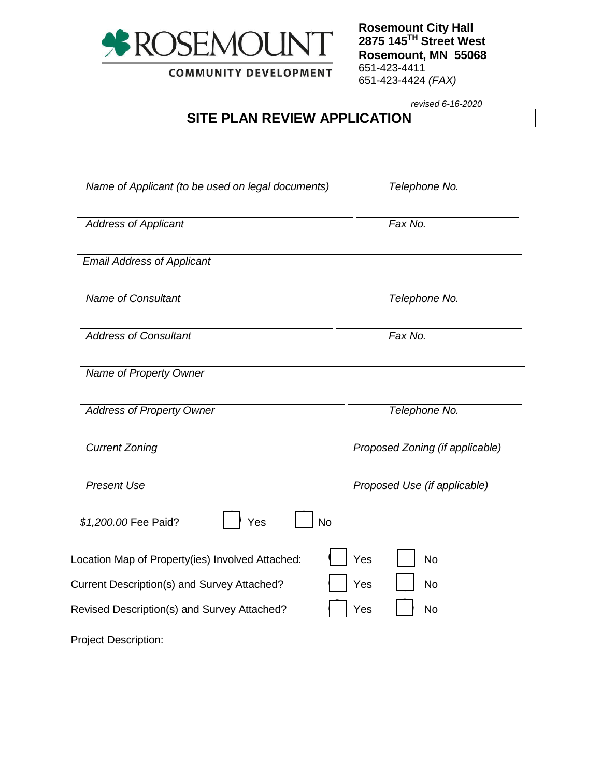

**COMMUNITY DEVELOPMENT** 

**Rosemount City Hall 2875 145TH Street West Rosemount, MN 55068** 651-423-4411 651-423-4424 *(FAX)*

*revised 6-16-2020*

## **SITE PLAN REVIEW APPLICATION**

| Name of Applicant (to be used on legal documents) | Telephone No.                   |  |  |
|---------------------------------------------------|---------------------------------|--|--|
| <b>Address of Applicant</b>                       | Fax No.                         |  |  |
| <b>Email Address of Applicant</b>                 |                                 |  |  |
| <b>Name of Consultant</b>                         | Telephone No.                   |  |  |
| <b>Address of Consultant</b>                      | Fax No.                         |  |  |
| Name of Property Owner                            |                                 |  |  |
| <b>Address of Property Owner</b>                  | Telephone No.                   |  |  |
| <b>Current Zoning</b>                             | Proposed Zoning (if applicable) |  |  |
| <b>Present Use</b>                                | Proposed Use (if applicable)    |  |  |
| <b>No</b><br>\$1,200.00 Fee Paid?<br>Yes          |                                 |  |  |
| Location Map of Property(ies) Involved Attached:  | Yes<br><b>No</b>                |  |  |
| Current Description(s) and Survey Attached?       | Yes<br><b>No</b>                |  |  |
| Revised Description(s) and Survey Attached?       | Yes<br><b>No</b>                |  |  |
| <b>Project Description:</b>                       |                                 |  |  |